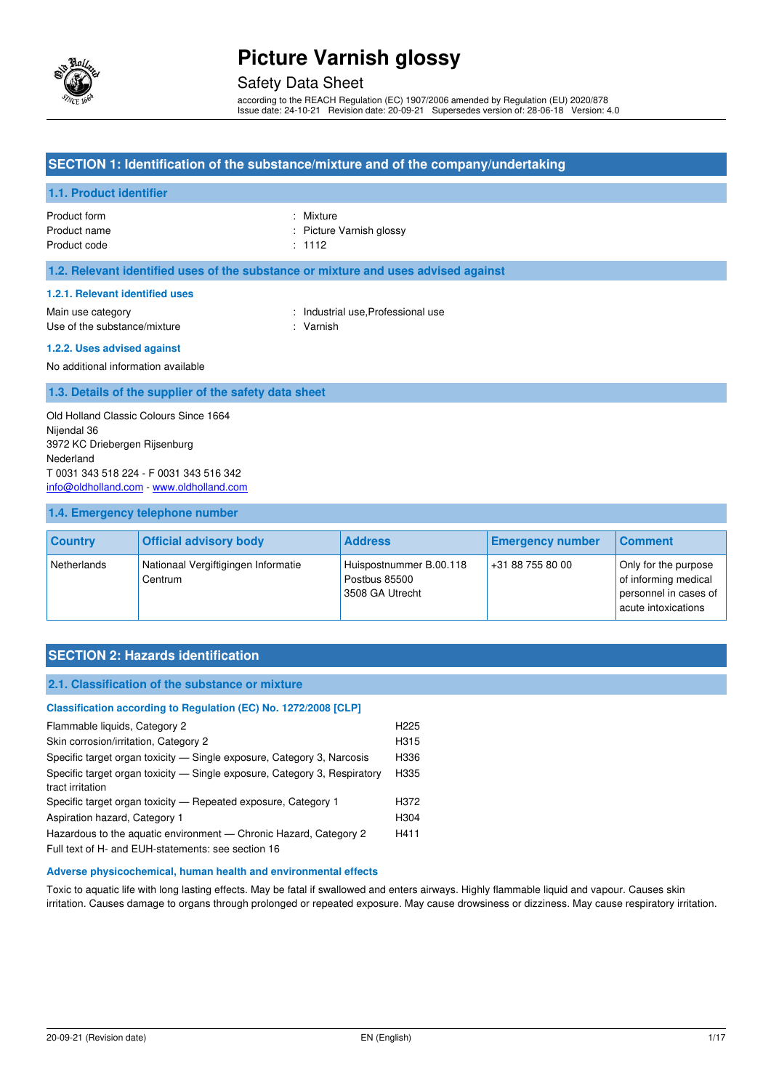

## Safety Data Sheet

according to the REACH Regulation (EC) 1907/2006 amended by Regulation (EU) 2020/878 Issue date: 24-10-21 Revision date: 20-09-21 Supersedes version of: 28-06-18 Version: 4.0

### **SECTION 1: Identification of the substance/mixture and of the company/undertaking**

#### **1.1. Product identifier**

Product form : Nixture : Nixture Product name **in the case of the California** Picture Varnish glossy Product code : 1112

#### **1.2. Relevant identified uses of the substance or mixture and uses advised against**

#### **1.2.1. Relevant identified uses**

Main use category **Example 20** and the United States of the Industrial use, Professional use Use of the substance/mixture : Varnish

#### **1.2.2. Uses advised against**

No additional information available

#### **1.3. Details of the supplier of the safety data sheet**

Old Holland Classic Colours Since 1664 Nijendal 36 3972 KC Driebergen Rijsenburg Nederland T 0031 343 518 224 - F 0031 343 516 342 [info@oldholland.com](mailto:info@oldholland.com) - [www.oldholland.com](http://www.oldholland.com/)

#### **1.4. Emergency telephone number**

| <b>Country</b> | <b>Official advisory body</b>                  | <b>Address</b>                                              | <b>Emergency number</b> | <b>Comment</b>                                                                               |
|----------------|------------------------------------------------|-------------------------------------------------------------|-------------------------|----------------------------------------------------------------------------------------------|
| Netherlands    | Nationaal Vergiftigingen Informatie<br>Centrum | Huispostnummer B.00.118<br>Postbus 85500<br>3508 GA Utrecht | +31 88 755 80 00        | Only for the purpose<br>of informing medical<br>personnel in cases of<br>acute intoxications |

### **SECTION 2: Hazards identification**

#### **2.1. Classification of the substance or mixture**

| Classification according to Regulation (EC) No. 1272/2008 [CLP]           |                  |
|---------------------------------------------------------------------------|------------------|
| Flammable liquids, Category 2                                             | H <sub>225</sub> |
| Skin corrosion/irritation, Category 2                                     | H315             |
| Specific target organ toxicity — Single exposure, Category 3, Narcosis    | H336             |
| Specific target organ toxicity - Single exposure, Category 3, Respiratory | H335             |
| tract irritation                                                          |                  |
| Specific target organ toxicity — Repeated exposure, Category 1            | H372             |
| Aspiration hazard, Category 1                                             | H304             |
| Hazardous to the aquatic environment — Chronic Hazard, Category 2         | H411             |
| Full text of H- and EUH-statements: see section 16                        |                  |

#### **Adverse physicochemical, human health and environmental effects**

Toxic to aquatic life with long lasting effects. May be fatal if swallowed and enters airways. Highly flammable liquid and vapour. Causes skin irritation. Causes damage to organs through prolonged or repeated exposure. May cause drowsiness or dizziness. May cause respiratory irritation.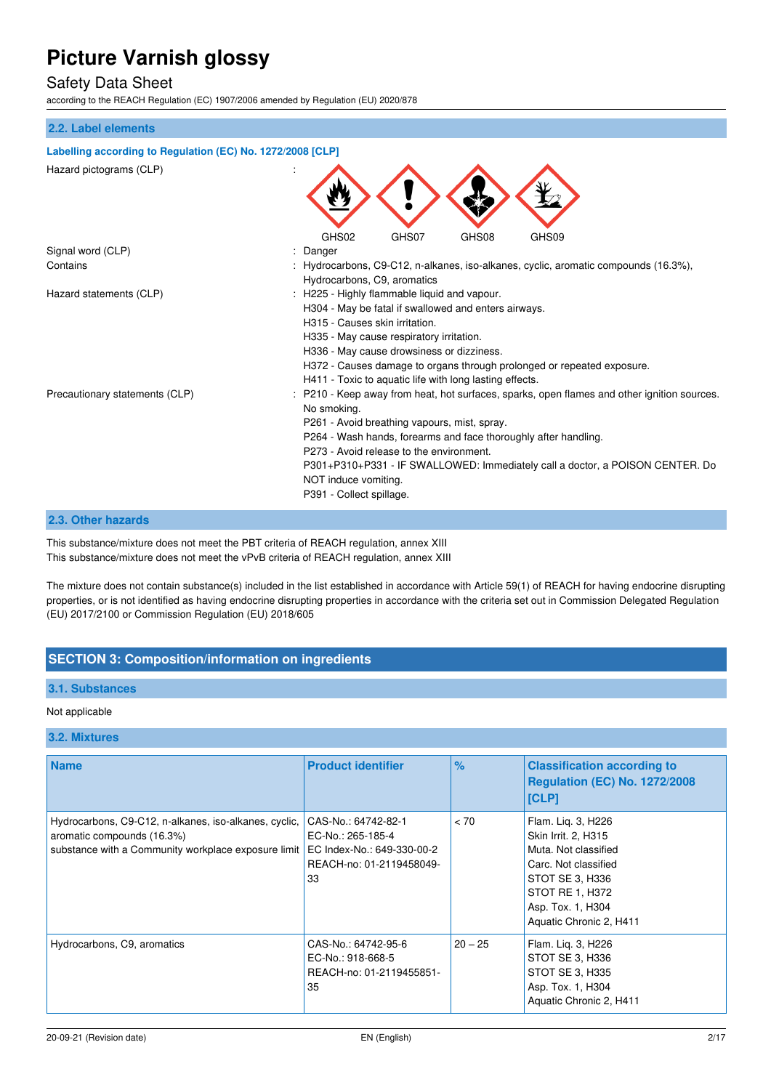### Safety Data Sheet

according to the REACH Regulation (EC) 1907/2006 amended by Regulation (EU) 2020/878

#### **2.2. Label elements**

| Labelling according to Regulation (EC) No. 1272/2008 [CLP] |                                                                                                                                                                                                                                                                                                                                                                                                              |  |
|------------------------------------------------------------|--------------------------------------------------------------------------------------------------------------------------------------------------------------------------------------------------------------------------------------------------------------------------------------------------------------------------------------------------------------------------------------------------------------|--|
| Hazard pictograms (CLP)                                    |                                                                                                                                                                                                                                                                                                                                                                                                              |  |
|                                                            | GHS08<br>GHS09<br>GHS02<br>GHS07                                                                                                                                                                                                                                                                                                                                                                             |  |
| Signal word (CLP)                                          | Danger                                                                                                                                                                                                                                                                                                                                                                                                       |  |
| Contains                                                   | Hydrocarbons, C9-C12, n-alkanes, iso-alkanes, cyclic, aromatic compounds (16.3%),<br>Hydrocarbons, C9, aromatics                                                                                                                                                                                                                                                                                             |  |
| Hazard statements (CLP)                                    | H225 - Highly flammable liquid and vapour.<br>H304 - May be fatal if swallowed and enters airways.<br>H315 - Causes skin irritation.<br>H335 - May cause respiratory irritation.<br>H336 - May cause drowsiness or dizziness.<br>H372 - Causes damage to organs through prolonged or repeated exposure.<br>H411 - Toxic to aquatic life with long lasting effects.                                           |  |
| Precautionary statements (CLP)                             | P210 - Keep away from heat, hot surfaces, sparks, open flames and other ignition sources.<br>No smoking.<br>P261 - Avoid breathing vapours, mist, spray.<br>P264 - Wash hands, forearms and face thoroughly after handling.<br>P273 - Avoid release to the environment.<br>P301+P310+P331 - IF SWALLOWED: Immediately call a doctor, a POISON CENTER. Do<br>NOT induce vomiting.<br>P391 - Collect spillage. |  |

#### **2.3. Other hazards**

This substance/mixture does not meet the PBT criteria of REACH regulation, annex XIII This substance/mixture does not meet the vPvB criteria of REACH regulation, annex XIII

The mixture does not contain substance(s) included in the list established in accordance with Article 59(1) of REACH for having endocrine disrupting properties, or is not identified as having endocrine disrupting properties in accordance with the criteria set out in Commission Delegated Regulation (EU) 2017/2100 or Commission Regulation (EU) 2018/605

### **SECTION 3: Composition/information on ingredients**

#### **3.1. Substances**

#### Not applicable

#### **3.2. Mixtures**

| <b>Name</b>                                                                                                                                | <b>Product identifier</b>                                                                                | $\%$      | <b>Classification according to</b><br><b>Regulation (EC) No. 1272/2008</b><br>[CLP]                                                                                             |
|--------------------------------------------------------------------------------------------------------------------------------------------|----------------------------------------------------------------------------------------------------------|-----------|---------------------------------------------------------------------------------------------------------------------------------------------------------------------------------|
| Hydrocarbons, C9-C12, n-alkanes, iso-alkanes, cyclic,<br>aromatic compounds (16.3%)<br>substance with a Community workplace exposure limit | CAS-No.: 64742-82-1<br>EC-No.: 265-185-4<br>EC Index-No.: 649-330-00-2<br>REACH-no: 01-2119458049-<br>33 | < 70      | Flam. Lig. 3, H226<br>Skin Irrit. 2, H315<br>Muta. Not classified<br>Carc. Not classified<br>STOT SE 3, H336<br>STOT RE 1, H372<br>Asp. Tox. 1, H304<br>Aquatic Chronic 2, H411 |
| Hydrocarbons, C9, aromatics                                                                                                                | CAS-No.: 64742-95-6<br>EC-No.: 918-668-5<br>REACH-no: 01-2119455851-<br>35                               | $20 - 25$ | Flam. Lig. 3, H226<br>STOT SE 3, H336<br>STOT SE 3, H335<br>Asp. Tox. 1, H304<br>Aquatic Chronic 2, H411                                                                        |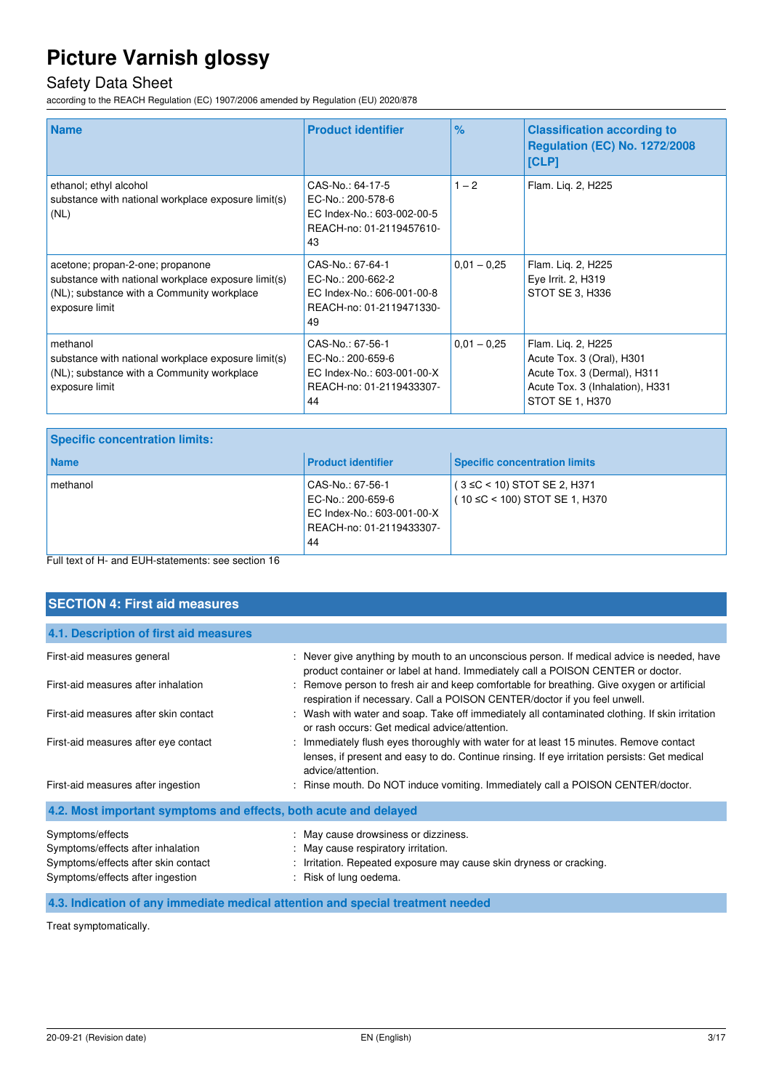## Safety Data Sheet

according to the REACH Regulation (EC) 1907/2006 amended by Regulation (EU) 2020/878

| <b>Name</b>                                                                                                                                             | <b>Product identifier</b>                                                                             | $\frac{9}{6}$ | <b>Classification according to</b><br><b>Regulation (EC) No. 1272/2008</b><br>[CLP]                                                  |
|---------------------------------------------------------------------------------------------------------------------------------------------------------|-------------------------------------------------------------------------------------------------------|---------------|--------------------------------------------------------------------------------------------------------------------------------------|
| ethanol; ethyl alcohol<br>substance with national workplace exposure limit(s)<br>(NL)                                                                   | CAS-No.: 64-17-5<br>EC-No.: 200-578-6<br>EC Index-No.: 603-002-00-5<br>REACH-no: 01-2119457610-<br>43 | $1 - 2$       | Flam. Lig. 2, H225                                                                                                                   |
| acetone; propan-2-one; propanone<br>substance with national workplace exposure limit(s)<br>(NL); substance with a Community workplace<br>exposure limit | CAS-No.: 67-64-1<br>EC-No.: 200-662-2<br>EC Index-No.: 606-001-00-8<br>REACH-no: 01-2119471330-<br>49 | $0,01 - 0,25$ | Flam. Lig. 2, H225<br>Eye Irrit. 2, H319<br>STOT SE 3, H336                                                                          |
| methanol<br>substance with national workplace exposure limit(s)<br>(NL); substance with a Community workplace<br>exposure limit                         | CAS-No.: 67-56-1<br>EC-No.: 200-659-6<br>EC Index-No.: 603-001-00-X<br>REACH-no: 01-2119433307-<br>44 | $0.01 - 0.25$ | Flam. Liq. 2, H225<br>Acute Tox. 3 (Oral), H301<br>Acute Tox. 3 (Dermal), H311<br>Acute Tox. 3 (Inhalation), H331<br>STOT SE 1, H370 |

| <b>Name</b><br><b>Product identifier</b>                                                                          | <b>Specific concentration limits</b>                               |
|-------------------------------------------------------------------------------------------------------------------|--------------------------------------------------------------------|
| methanol<br>CAS-No.: 67-56-1<br>EC-No.: 200-659-6<br>EC Index-No.: 603-001-00-X<br>REACH-no: 01-2119433307-<br>44 | $(3 \leq C < 10)$ STOT SE 2, H371<br>(10 ≤C < 100) STOT SE 1, H370 |

Full text of H- and EUH-statements: see section 16

| <b>SECTION 4: First aid measures</b>                                                                                             |                                                                                                                                                                                                             |
|----------------------------------------------------------------------------------------------------------------------------------|-------------------------------------------------------------------------------------------------------------------------------------------------------------------------------------------------------------|
| 4.1. Description of first aid measures                                                                                           |                                                                                                                                                                                                             |
| First-aid measures general                                                                                                       | : Never give anything by mouth to an unconscious person. If medical advice is needed, have                                                                                                                  |
| First-aid measures after inhalation                                                                                              | product container or label at hand. Immediately call a POISON CENTER or doctor.<br>: Remove person to fresh air and keep comfortable for breathing. Give oxygen or artificial                               |
|                                                                                                                                  | respiration if necessary. Call a POISON CENTER/doctor if you feel unwell.                                                                                                                                   |
| First-aid measures after skin contact                                                                                            | : Wash with water and soap. Take off immediately all contaminated clothing. If skin irritation<br>or rash occurs: Get medical advice/attention.                                                             |
| First-aid measures after eye contact                                                                                             | : Immediately flush eyes thoroughly with water for at least 15 minutes. Remove contact<br>lenses, if present and easy to do. Continue rinsing. If eye irritation persists: Get medical<br>advice/attention. |
| First-aid measures after ingestion                                                                                               | : Rinse mouth. Do NOT induce vomiting. Immediately call a POISON CENTER/doctor.                                                                                                                             |
| 4.2. Most important symptoms and effects, both acute and delayed                                                                 |                                                                                                                                                                                                             |
| Symptoms/effects<br>Symptoms/effects after inhalation<br>Symptoms/effects after skin contact<br>Symptoms/effects after ingestion | : May cause drowsiness or dizziness.<br>: May cause respiratory irritation.<br>: Irritation. Repeated exposure may cause skin dryness or cracking.<br>: Risk of lung oedema.                                |

**4.3. Indication of any immediate medical attention and special treatment needed** 

Treat symptomatically.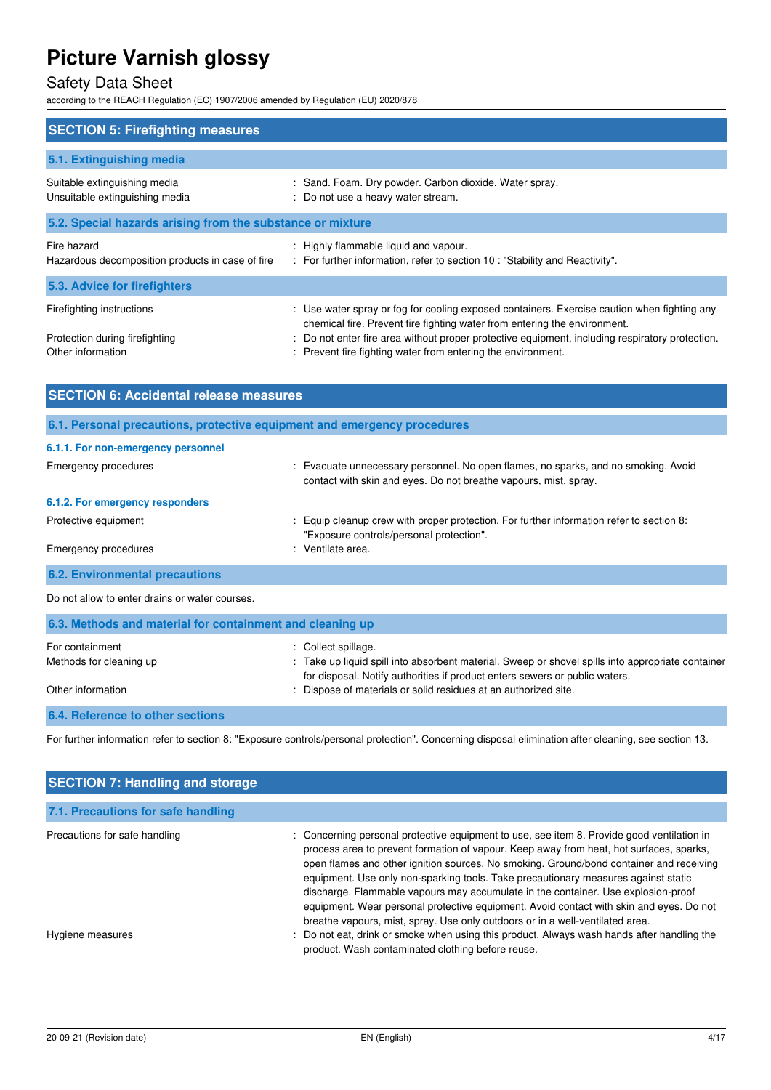## Safety Data Sheet

according to the REACH Regulation (EC) 1907/2006 amended by Regulation (EU) 2020/878

| <b>SECTION 5: Firefighting measures</b>                                          |                                                                                                                                                                                                                                                                                                                                             |
|----------------------------------------------------------------------------------|---------------------------------------------------------------------------------------------------------------------------------------------------------------------------------------------------------------------------------------------------------------------------------------------------------------------------------------------|
| 5.1. Extinguishing media                                                         |                                                                                                                                                                                                                                                                                                                                             |
| Suitable extinguishing media<br>Unsuitable extinguishing media                   | : Sand. Foam. Dry powder. Carbon dioxide. Water spray.<br>: Do not use a heavy water stream.                                                                                                                                                                                                                                                |
| 5.2. Special hazards arising from the substance or mixture                       |                                                                                                                                                                                                                                                                                                                                             |
| Fire hazard<br>Hazardous decomposition products in case of fire                  | : Highly flammable liquid and vapour.<br>: For further information, refer to section 10 : "Stability and Reactivity".                                                                                                                                                                                                                       |
| 5.3. Advice for firefighters                                                     |                                                                                                                                                                                                                                                                                                                                             |
| Firefighting instructions<br>Protection during firefighting<br>Other information | : Use water spray or fog for cooling exposed containers. Exercise caution when fighting any<br>chemical fire. Prevent fire fighting water from entering the environment.<br>: Do not enter fire area without proper protective equipment, including respiratory protection.<br>: Prevent fire fighting water from entering the environment. |

| <b>SECTION 6: Accidental release measures</b>                            |                                                                                                                                                        |
|--------------------------------------------------------------------------|--------------------------------------------------------------------------------------------------------------------------------------------------------|
| 6.1. Personal precautions, protective equipment and emergency procedures |                                                                                                                                                        |
| 6.1.1. For non-emergency personnel                                       |                                                                                                                                                        |
| Emergency procedures                                                     | : Evacuate unnecessary personnel. No open flames, no sparks, and no smoking. Avoid<br>contact with skin and eyes. Do not breathe vapours, mist, spray. |
| 6.1.2. For emergency responders                                          |                                                                                                                                                        |
| Protective equipment                                                     | Equip cleanup crew with proper protection. For further information refer to section 8:<br>"Exposure controls/personal protection".                     |
| <b>Emergency procedures</b>                                              | : Ventilate area.                                                                                                                                      |
| <b>6.2. Environmental precautions</b>                                    |                                                                                                                                                        |

Do not allow to enter drains or water courses.

| 6.3. Methods and material for containment and cleaning up |                                                                                                                                                                                  |
|-----------------------------------------------------------|----------------------------------------------------------------------------------------------------------------------------------------------------------------------------------|
| For containment                                           | : Collect spillage.                                                                                                                                                              |
| Methods for cleaning up                                   | : Take up liquid spill into absorbent material. Sweep or shovel spills into appropriate container<br>for disposal. Notify authorities if product enters sewers or public waters. |
| Other information                                         | : Dispose of materials or solid residues at an authorized site.                                                                                                                  |

### **6.4. Reference to other sections**

For further information refer to section 8: "Exposure controls/personal protection". Concerning disposal elimination after cleaning, see section 13.

| <b>SECTION 7: Handling and storage</b>            |                                                                                                                                                                                                                                                                                                                                                                                                                                                                                                                                                                                                                                                                                                                                       |  |  |
|---------------------------------------------------|---------------------------------------------------------------------------------------------------------------------------------------------------------------------------------------------------------------------------------------------------------------------------------------------------------------------------------------------------------------------------------------------------------------------------------------------------------------------------------------------------------------------------------------------------------------------------------------------------------------------------------------------------------------------------------------------------------------------------------------|--|--|
| 7.1. Precautions for safe handling                |                                                                                                                                                                                                                                                                                                                                                                                                                                                                                                                                                                                                                                                                                                                                       |  |  |
| Precautions for safe handling<br>Hygiene measures | : Concerning personal protective equipment to use, see item 8. Provide good ventilation in<br>process area to prevent formation of vapour. Keep away from heat, hot surfaces, sparks,<br>open flames and other ignition sources. No smoking. Ground/bond container and receiving<br>equipment. Use only non-sparking tools. Take precautionary measures against static<br>discharge. Flammable vapours may accumulate in the container. Use explosion-proof<br>equipment. Wear personal protective equipment. Avoid contact with skin and eyes. Do not<br>breathe vapours, mist, spray. Use only outdoors or in a well-ventilated area.<br>: Do not eat, drink or smoke when using this product. Always wash hands after handling the |  |  |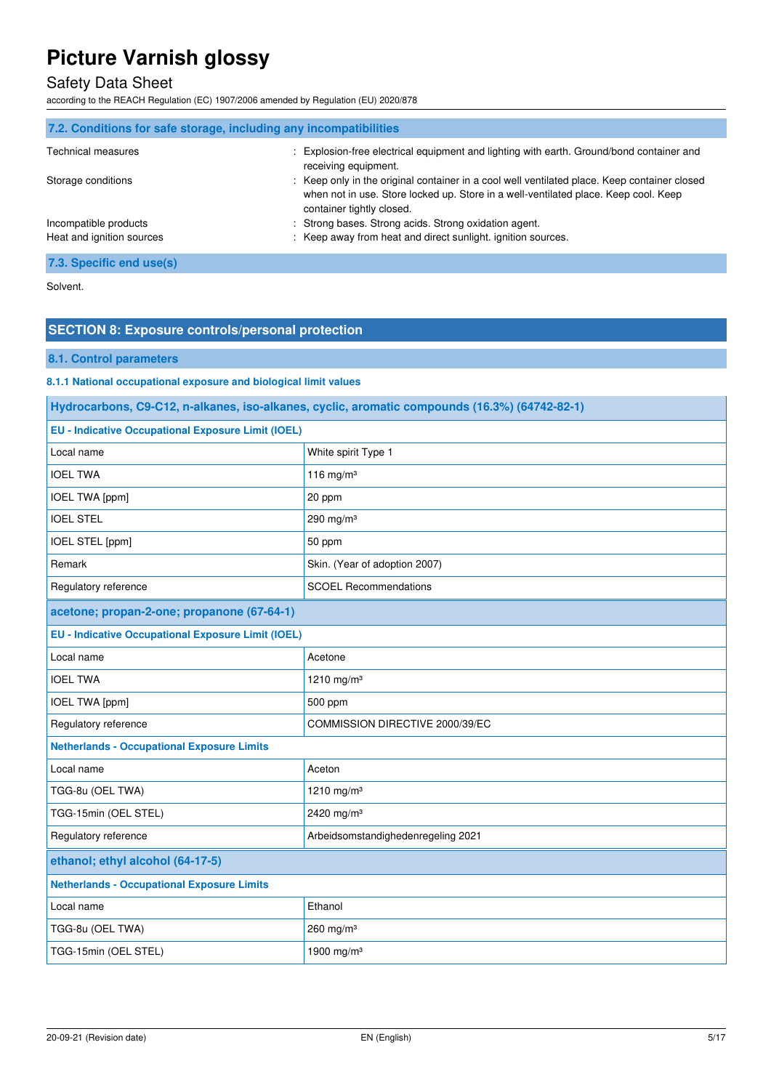## Safety Data Sheet

according to the REACH Regulation (EC) 1907/2006 amended by Regulation (EU) 2020/878

| 7.2. Conditions for safe storage, including any incompatibilities |                                                                                                                                                                                                                  |
|-------------------------------------------------------------------|------------------------------------------------------------------------------------------------------------------------------------------------------------------------------------------------------------------|
| <b>Technical measures</b>                                         | : Explosion-free electrical equipment and lighting with earth. Ground/bond container and<br>receiving equipment.                                                                                                 |
| Storage conditions                                                | : Keep only in the original container in a cool well ventilated place. Keep container closed<br>when not in use. Store locked up. Store in a well-ventilated place. Keep cool. Keep<br>container tightly closed. |
| Incompatible products                                             | : Strong bases. Strong acids. Strong oxidation agent.                                                                                                                                                            |
| Heat and ignition sources                                         | : Keep away from heat and direct sunlight, ignition sources.                                                                                                                                                     |
| 7.3. Specific end use(s)                                          |                                                                                                                                                                                                                  |

Solvent.

### **SECTION 8: Exposure controls/personal protection**

### **8.1. Control parameters**

**8.1.1 National occupational exposure and biological limit values** 

| Hydrocarbons, C9-C12, n-alkanes, iso-alkanes, cyclic, aromatic compounds (16.3%) (64742-82-1) |                                    |  |
|-----------------------------------------------------------------------------------------------|------------------------------------|--|
| <b>EU - Indicative Occupational Exposure Limit (IOEL)</b>                                     |                                    |  |
| Local name                                                                                    | White spirit Type 1                |  |
| <b>IOEL TWA</b>                                                                               | 116 mg/m $3$                       |  |
| <b>IOEL TWA [ppm]</b>                                                                         | 20 ppm                             |  |
| <b>IOEL STEL</b>                                                                              | 290 mg/m $3$                       |  |
| IOEL STEL [ppm]                                                                               | 50 ppm                             |  |
| Remark                                                                                        | Skin. (Year of adoption 2007)      |  |
| Regulatory reference                                                                          | <b>SCOEL Recommendations</b>       |  |
| acetone; propan-2-one; propanone (67-64-1)                                                    |                                    |  |
| <b>EU - Indicative Occupational Exposure Limit (IOEL)</b>                                     |                                    |  |
| Local name                                                                                    | Acetone                            |  |
| <b>IOEL TWA</b>                                                                               | 1210 mg/m <sup>3</sup>             |  |
| <b>IOEL TWA [ppm]</b>                                                                         | 500 ppm                            |  |
| Regulatory reference                                                                          | COMMISSION DIRECTIVE 2000/39/EC    |  |
| <b>Netherlands - Occupational Exposure Limits</b>                                             |                                    |  |
| Local name                                                                                    | Aceton                             |  |
| TGG-8u (OEL TWA)                                                                              | 1210 mg/m <sup>3</sup>             |  |
| TGG-15min (OEL STEL)                                                                          | 2420 mg/m <sup>3</sup>             |  |
| Regulatory reference                                                                          | Arbeidsomstandighedenregeling 2021 |  |
| ethanol; ethyl alcohol (64-17-5)                                                              |                                    |  |
| <b>Netherlands - Occupational Exposure Limits</b>                                             |                                    |  |
| Local name                                                                                    | Ethanol                            |  |
| TGG-8u (OEL TWA)                                                                              | 260 mg/m <sup>3</sup>              |  |
| TGG-15min (OEL STEL)                                                                          | 1900 mg/m <sup>3</sup>             |  |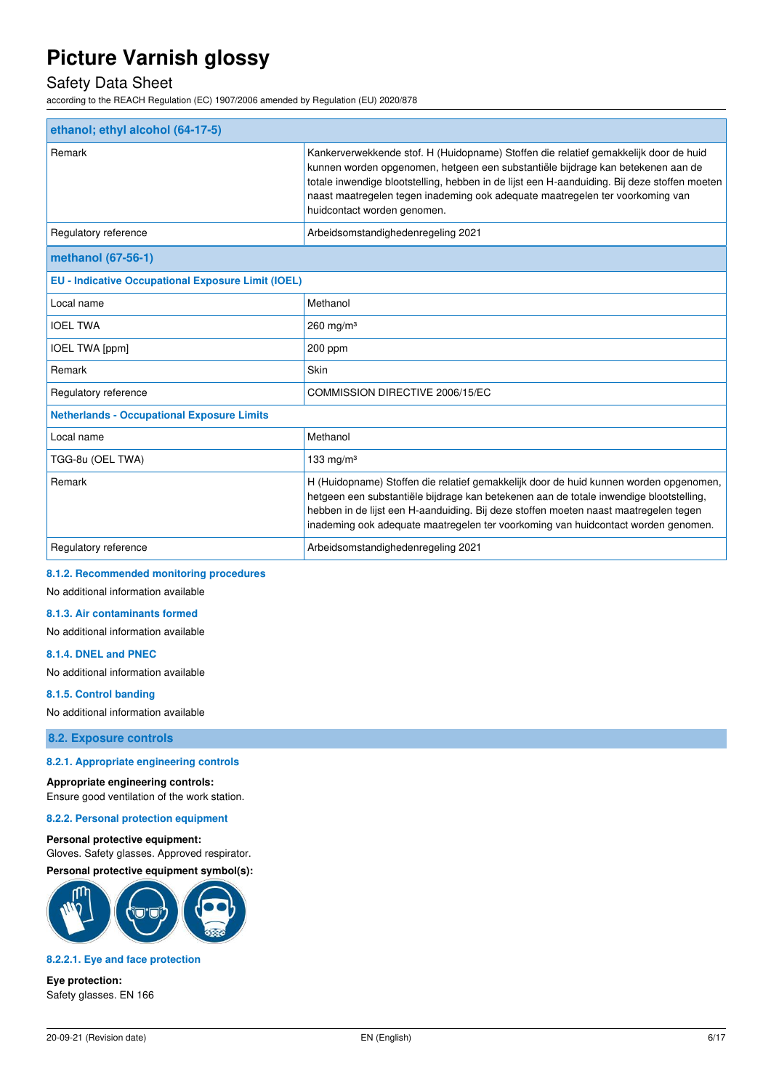### Safety Data Sheet

according to the REACH Regulation (EC) 1907/2006 amended by Regulation (EU) 2020/878

| ethanol; ethyl alcohol (64-17-5)                          |                                                                                                                                                                                                                                                                                                                                                                                         |
|-----------------------------------------------------------|-----------------------------------------------------------------------------------------------------------------------------------------------------------------------------------------------------------------------------------------------------------------------------------------------------------------------------------------------------------------------------------------|
| Remark                                                    | Kankerverwekkende stof. H (Huidopname) Stoffen die relatief gemakkelijk door de huid<br>kunnen worden opgenomen, hetgeen een substantiële bijdrage kan betekenen aan de<br>totale inwendige blootstelling, hebben in de lijst een H-aanduiding. Bij deze stoffen moeten<br>naast maatregelen tegen inademing ook adequate maatregelen ter voorkoming van<br>huidcontact worden genomen. |
| Regulatory reference                                      | Arbeidsomstandighedenregeling 2021                                                                                                                                                                                                                                                                                                                                                      |
| methanol (67-56-1)                                        |                                                                                                                                                                                                                                                                                                                                                                                         |
| <b>EU - Indicative Occupational Exposure Limit (IOEL)</b> |                                                                                                                                                                                                                                                                                                                                                                                         |
| Local name                                                | Methanol                                                                                                                                                                                                                                                                                                                                                                                |
| <b>IOEL TWA</b>                                           | $260$ mg/m <sup>3</sup>                                                                                                                                                                                                                                                                                                                                                                 |
| IOEL TWA [ppm]                                            | $200$ ppm                                                                                                                                                                                                                                                                                                                                                                               |
| Remark                                                    | Skin                                                                                                                                                                                                                                                                                                                                                                                    |
| Regulatory reference                                      | COMMISSION DIRECTIVE 2006/15/EC                                                                                                                                                                                                                                                                                                                                                         |
| <b>Netherlands - Occupational Exposure Limits</b>         |                                                                                                                                                                                                                                                                                                                                                                                         |
| Local name                                                | Methanol                                                                                                                                                                                                                                                                                                                                                                                |
| TGG-8u (OEL TWA)                                          | 133 mg/m $3$                                                                                                                                                                                                                                                                                                                                                                            |
| Remark                                                    | H (Huidopname) Stoffen die relatief gemakkelijk door de huid kunnen worden opgenomen,<br>hetgeen een substantiële bijdrage kan betekenen aan de totale inwendige blootstelling,<br>hebben in de lijst een H-aanduiding. Bij deze stoffen moeten naast maatregelen tegen                                                                                                                 |

|                      | inademing ook adequate maatregelen ter voorkoming van huidcontact worden genomen. |  |
|----------------------|-----------------------------------------------------------------------------------|--|
| Regulatory reference | Arbeidsomstandighedenregeling 2021                                                |  |

#### **8.1.2. Recommended monitoring procedures**

No additional information available

#### **8.1.3. Air contaminants formed**

No additional information available

#### **8.1.4. DNEL and PNEC**

No additional information available

#### **8.1.5. Control banding**

No additional information available

**8.2. Exposure controls** 

### **8.2.1. Appropriate engineering controls**

#### **Appropriate engineering controls:**

Ensure good ventilation of the work station.

**8.2.2. Personal protection equipment** 

#### **Personal protective equipment:**

Gloves. Safety glasses. Approved respirator. **Personal protective equipment symbol(s):** 



#### **8.2.2.1. Eye and face protection**

**Eye protection:**  Safety glasses. EN 166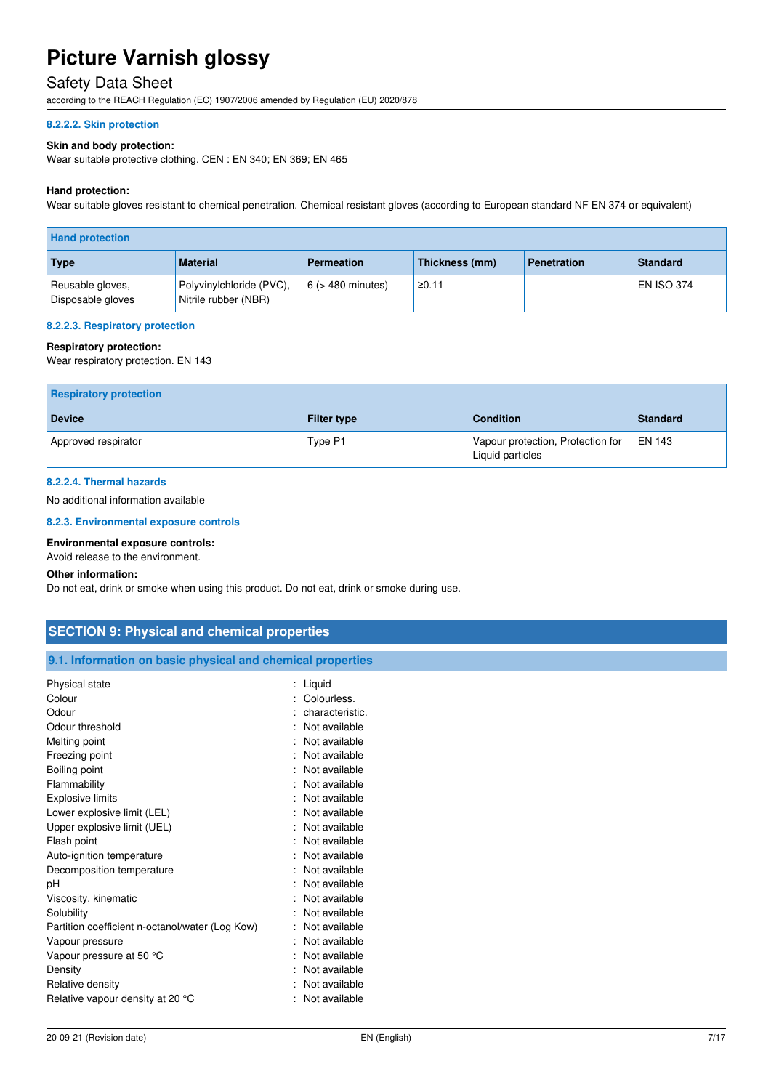### Safety Data Sheet

according to the REACH Regulation (EC) 1907/2006 amended by Regulation (EU) 2020/878

#### **8.2.2.2. Skin protection**

#### **Skin and body protection:**

Wear suitable protective clothing. CEN : EN 340; EN 369; EN 465

#### **Hand protection:**

Wear suitable gloves resistant to chemical penetration. Chemical resistant gloves (according to European standard NF EN 374 or equivalent)

| <b>Hand protection</b>                |                                                  |                        |                |                    |                   |
|---------------------------------------|--------------------------------------------------|------------------------|----------------|--------------------|-------------------|
| Type                                  | <b>Material</b>                                  | <b>Permeation</b>      | Thickness (mm) | <b>Penetration</b> | <b>Standard</b>   |
| Reusable gloves,<br>Disposable gloves | Polyvinylchloride (PVC),<br>Nitrile rubber (NBR) | $6$ ( $>$ 480 minutes) | ≥0.11          |                    | <b>EN ISO 374</b> |

#### **8.2.2.3. Respiratory protection**

#### **Respiratory protection:**

Wear respiratory protection. EN 143

| <b>Respiratory protection</b> |                    |                                                       |                 |
|-------------------------------|--------------------|-------------------------------------------------------|-----------------|
| <b>Device</b>                 | <b>Filter type</b> | <b>Condition</b>                                      | <b>Standard</b> |
| Approved respirator           | Type P1            | Vapour protection, Protection for<br>Liquid particles | $EN$ 143        |

#### **8.2.2.4. Thermal hazards**

No additional information available

#### **8.2.3. Environmental exposure controls**

#### **Environmental exposure controls:**

Avoid release to the environment.

#### **Other information:**

Do not eat, drink or smoke when using this product. Do not eat, drink or smoke during use.

| <b>SECTION 9: Physical and chemical properties</b>         |                     |
|------------------------------------------------------------|---------------------|
| 9.1. Information on basic physical and chemical properties |                     |
| Physical state                                             | : Liquid            |
| Colour                                                     | : Colourless.       |
| Odour                                                      | characteristic.     |
| Odour threshold                                            | : Not available     |
| Melting point                                              | Not available       |
| Freezing point                                             | : Not available     |
| Boiling point                                              | Not available       |
| Flammability                                               | : Not available     |
| <b>Explosive limits</b>                                    | : Not available     |
| Lower explosive limit (LEL)                                | Not available       |
| Upper explosive limit (UEL)                                | : Not available     |
| Flash point                                                | Not available       |
| Auto-ignition temperature                                  | : Not available     |
| Decomposition temperature                                  | Not available       |
| pH                                                         | Not available<br>٠. |
| Viscosity, kinematic                                       | Not available       |
| Solubility                                                 | Not available       |
| Partition coefficient n-octanol/water (Log Kow)            | : Not available     |
| Vapour pressure                                            | : Not available     |
| Vapour pressure at 50 °C                                   | : Not available     |
| Density                                                    | Not available       |
| Relative density                                           | Not available<br>۰. |
| Relative vapour density at 20 °C                           | : Not available     |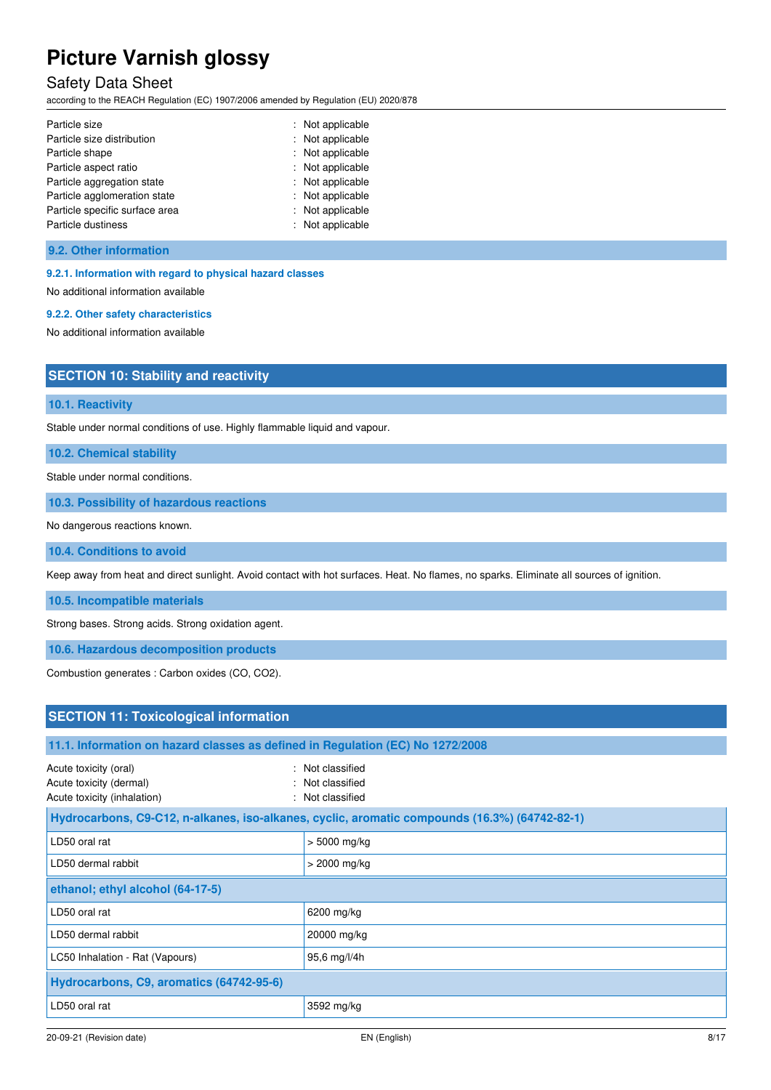### Safety Data Sheet

according to the REACH Regulation (EC) 1907/2006 amended by Regulation (EU) 2020/878

| Particle size                  | : Not applicable |
|--------------------------------|------------------|
| Particle size distribution     | : Not applicable |
| Particle shape                 | : Not applicable |
| Particle aspect ratio          | : Not applicable |
| Particle aggregation state     | : Not applicable |
| Particle agglomeration state   | : Not applicable |
| Particle specific surface area | : Not applicable |
| Particle dustiness             | : Not applicable |

#### **9.2. Other information**

#### **9.2.1. Information with regard to physical hazard classes**

No additional information available

### **9.2.2. Other safety characteristics**

No additional information available

### **SECTION 10: Stability and reactivity**

#### **10.1. Reactivity**

Stable under normal conditions of use. Highly flammable liquid and vapour.

**10.2. Chemical stability** 

Stable under normal conditions.

**10.3. Possibility of hazardous reactions** 

No dangerous reactions known.

#### **10.4. Conditions to avoid**

Keep away from heat and direct sunlight. Avoid contact with hot surfaces. Heat. No flames, no sparks. Eliminate all sources of ignition.

**10.5. Incompatible materials** 

Strong bases. Strong acids. Strong oxidation agent.

**10.6. Hazardous decomposition products** 

Combustion generates : Carbon oxides (CO, CO2).

LD50 oral rat 3592 mg/kg

| <b>SECTION 11: Toxicological information</b>                                    |                                                                                               |  |
|---------------------------------------------------------------------------------|-----------------------------------------------------------------------------------------------|--|
|                                                                                 |                                                                                               |  |
| 11.1. Information on hazard classes as defined in Regulation (EC) No 1272/2008  |                                                                                               |  |
| Acute toxicity (oral)<br>Acute toxicity (dermal)<br>Acute toxicity (inhalation) | : Not classified<br>: Not classified<br>: Not classified                                      |  |
|                                                                                 | Hydrocarbons, C9-C12, n-alkanes, iso-alkanes, cyclic, aromatic compounds (16.3%) (64742-82-1) |  |
| LD50 oral rat                                                                   | $> 5000$ mg/kg                                                                                |  |
| LD50 dermal rabbit                                                              | $>$ 2000 mg/kg                                                                                |  |
| ethanol; ethyl alcohol (64-17-5)                                                |                                                                                               |  |
| LD50 oral rat                                                                   | 6200 mg/kg                                                                                    |  |
| LD50 dermal rabbit                                                              | 20000 mg/kg                                                                                   |  |
| LC50 Inhalation - Rat (Vapours)                                                 | 95,6 mg/l/4h                                                                                  |  |
| Hydrocarbons, C9, aromatics (64742-95-6)                                        |                                                                                               |  |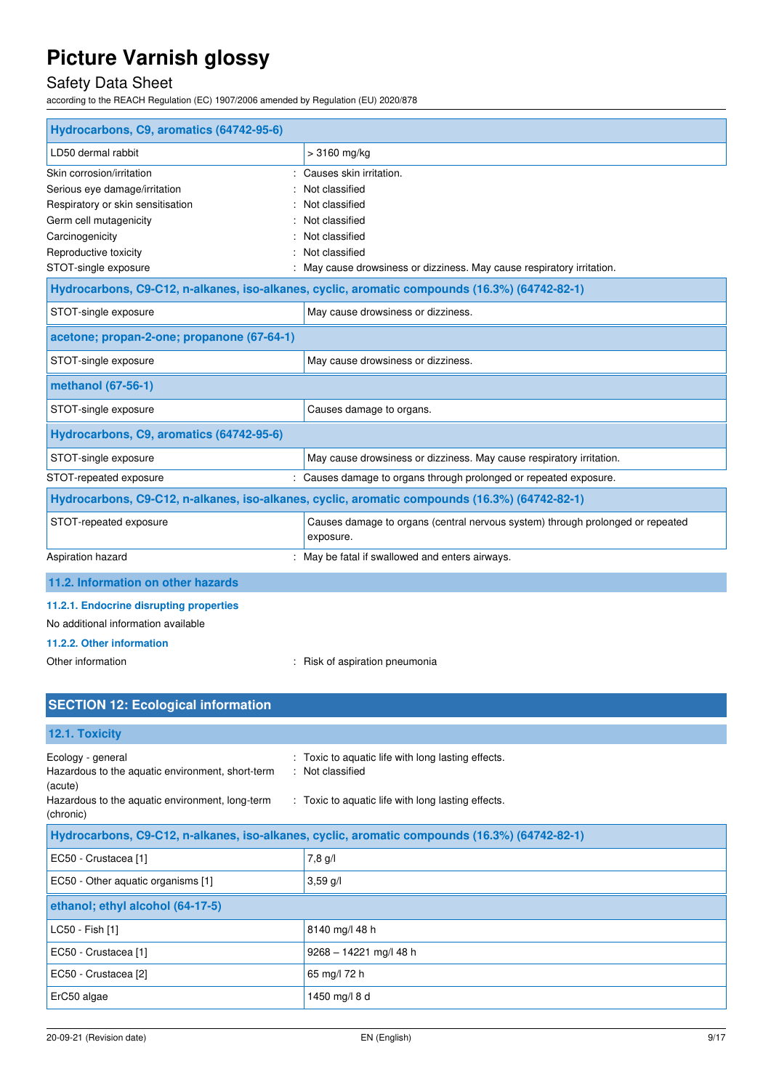## Safety Data Sheet

according to the REACH Regulation (EC) 1907/2006 amended by Regulation (EU) 2020/878

| Hydrocarbons, C9, aromatics (64742-95-6)                   |                                                                                               |
|------------------------------------------------------------|-----------------------------------------------------------------------------------------------|
| LD50 dermal rabbit                                         | > 3160 mg/kg                                                                                  |
| Skin corrosion/irritation                                  | : Causes skin irritation.                                                                     |
| Serious eye damage/irritation                              | Not classified                                                                                |
| Respiratory or skin sensitisation                          | Not classified                                                                                |
| Germ cell mutagenicity                                     | Not classified                                                                                |
| Carcinogenicity                                            | Not classified                                                                                |
| Reproductive toxicity                                      | Not classified                                                                                |
| STOT-single exposure                                       | May cause drowsiness or dizziness. May cause respiratory irritation.                          |
|                                                            | Hydrocarbons, C9-C12, n-alkanes, iso-alkanes, cyclic, aromatic compounds (16.3%) (64742-82-1) |
| STOT-single exposure                                       | May cause drowsiness or dizziness.                                                            |
| acetone; propan-2-one; propanone (67-64-1)                 |                                                                                               |
| STOT-single exposure<br>May cause drowsiness or dizziness. |                                                                                               |
| methanol (67-56-1)                                         |                                                                                               |
| STOT-single exposure                                       | Causes damage to organs.                                                                      |
| Hydrocarbons, C9, aromatics (64742-95-6)                   |                                                                                               |
| STOT-single exposure                                       | May cause drowsiness or dizziness. May cause respiratory irritation.                          |
| STOT-repeated exposure                                     | : Causes damage to organs through prolonged or repeated exposure.                             |
|                                                            | Hydrocarbons, C9-C12, n-alkanes, iso-alkanes, cyclic, aromatic compounds (16.3%) (64742-82-1) |
| STOT-repeated exposure                                     | Causes damage to organs (central nervous system) through prolonged or repeated<br>exposure.   |
| Aspiration hazard                                          | May be fatal if swallowed and enters airways.                                                 |
| 11.2. Information on other hazards                         |                                                                                               |

#### **11.2.1. Endocrine disrupting properties**

No additional information available

#### **11.2.2. Other information**

Other information  $\qquad \qquad$ : Risk of aspiration pneumonia

| <b>SECTION 12: Ecological information</b>                                        |                                                                                               |
|----------------------------------------------------------------------------------|-----------------------------------------------------------------------------------------------|
|                                                                                  |                                                                                               |
| 12.1. Toxicity                                                                   |                                                                                               |
| Ecology - general<br>Hazardous to the aquatic environment, short-term<br>(acute) | : Toxic to aquatic life with long lasting effects.<br>: Not classified                        |
| Hazardous to the aquatic environment, long-term<br>(chronic)                     | : Toxic to aquatic life with long lasting effects.                                            |
|                                                                                  | Hydrocarbons, C9-C12, n-alkanes, iso-alkanes, cyclic, aromatic compounds (16.3%) (64742-82-1) |
| EC50 - Crustacea [1]                                                             | 7,8 g/l                                                                                       |
| EC50 - Other aquatic organisms [1]                                               | $3,59$ g/l                                                                                    |
| ethanol; ethyl alcohol (64-17-5)                                                 |                                                                                               |
| LC50 - Fish [1]                                                                  | 8140 mg/l 48 h                                                                                |
| EC50 - Crustacea [1]                                                             | $9268 - 14221$ mg/l 48 h                                                                      |
| EC50 - Crustacea [2]                                                             | 65 mg/l 72 h                                                                                  |
| ErC50 algae                                                                      | 1450 mg/l 8 d                                                                                 |
|                                                                                  |                                                                                               |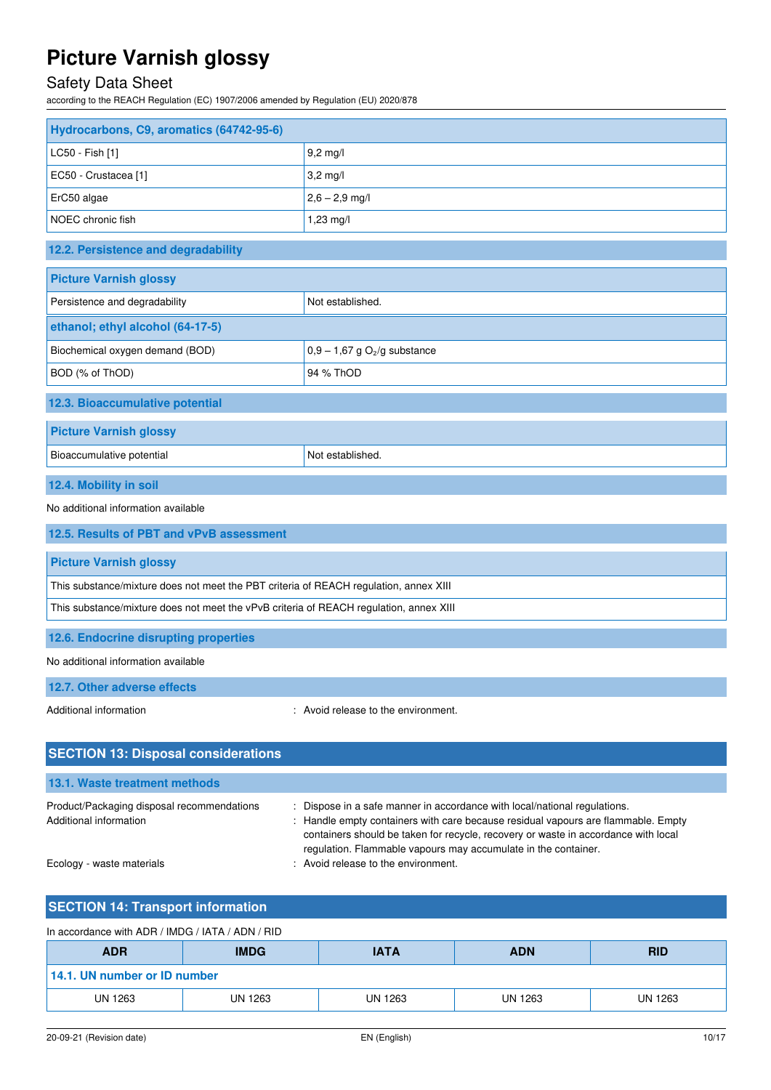## Safety Data Sheet

according to the REACH Regulation (EC) 1907/2006 amended by Regulation (EU) 2020/878

| Hydrocarbons, C9, aromatics (64742-95-6)                                               |                                            |  |
|----------------------------------------------------------------------------------------|--------------------------------------------|--|
| LC50 - Fish [1]                                                                        | $9,2$ mg/l                                 |  |
| EC50 - Crustacea [1]                                                                   | $3,2$ mg/l                                 |  |
| ErC50 algae                                                                            | $2,6 - 2,9$ mg/l                           |  |
| NOEC chronic fish                                                                      | $1,23 \, \text{mg}/\text{l}$               |  |
| 12.2. Persistence and degradability                                                    |                                            |  |
| <b>Picture Varnish glossy</b>                                                          |                                            |  |
| Persistence and degradability                                                          | Not established.                           |  |
| ethanol; ethyl alcohol (64-17-5)                                                       |                                            |  |
| Biochemical oxygen demand (BOD)                                                        | $0,9 - 1,67$ g O <sub>2</sub> /g substance |  |
| BOD (% of ThOD)                                                                        | 94 % ThOD                                  |  |
| 12.3. Bioaccumulative potential                                                        |                                            |  |
| <b>Picture Varnish glossy</b>                                                          |                                            |  |
| Bioaccumulative potential                                                              | Not established.                           |  |
| 12.4. Mobility in soil                                                                 |                                            |  |
| No additional information available                                                    |                                            |  |
| 12.5. Results of PBT and vPvB assessment                                               |                                            |  |
| <b>Picture Varnish glossy</b>                                                          |                                            |  |
| This substance/mixture does not meet the PBT criteria of REACH regulation, annex XIII  |                                            |  |
| This substance/mixture does not meet the vPvB criteria of REACH regulation, annex XIII |                                            |  |
| 12.6. Endocrine disrupting properties                                                  |                                            |  |
| No additional information available                                                    |                                            |  |
| 12.7. Other adverse effects                                                            |                                            |  |
| Additional information                                                                 | : Avoid release to the environment.        |  |
| <b>SECTION 13: Disposal considerations</b>                                             |                                            |  |
| 13.1. Waste treatment methods                                                          |                                            |  |

| Product/Packaging disposal recommendations | Dispose in a safe manner in accordance with local/national regulations. |
|--------------------------------------------|-------------------------------------------------------------------------|
| Additional information                     | : Handle empty containers with care because residual vapours are flamm  |
|                                            | containers should be taken for recycle, recovery or waste in accordance |

are because residual vapours are flammable. Empty recycle, recovery or waste in accordance with local regulation. Flammable vapours may accumulate in the container. Ecology - waste materials **Ecology** - waste materials **interval** in the environment.

## **SECTION 14: Transport information**

| In accordance with ADR / IMDG / IATA / ADN / RID |  |
|--------------------------------------------------|--|
|--------------------------------------------------|--|

| <b>ADR</b>                   | <b>IMDG</b> | <b>IATA</b> | <b>ADN</b> |         |
|------------------------------|-------------|-------------|------------|---------|
| 14.1. UN number or ID number |             |             |            |         |
| <b>UN 1263</b>               | UN 1263     | UN 1263     | UN 1263    | UN 1263 |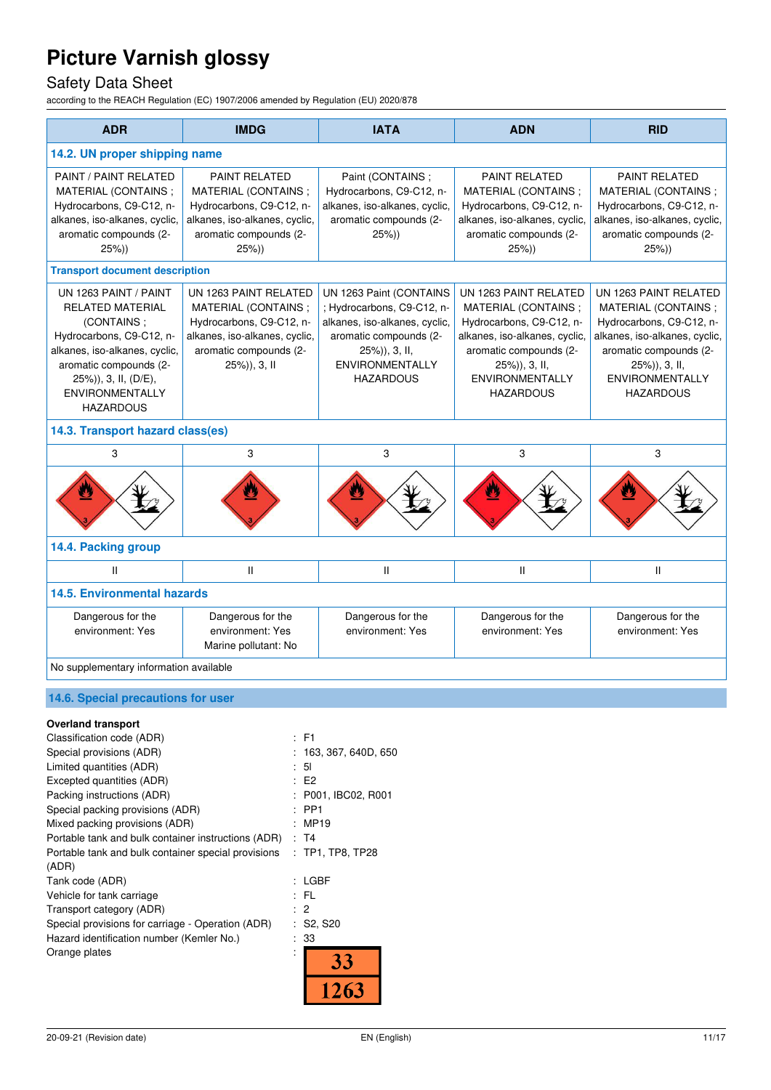## Safety Data Sheet

according to the REACH Regulation (EC) 1907/2006 amended by Regulation (EU) 2020/878

| <b>ADR</b>                                                                                                                                                                                                                  | <b>IMDG</b>                                                                                                                                         | <b>IATA</b>                                                                                                                                                                     | <b>ADN</b>                                                                                                                                                                                         | <b>RID</b>                                                                                                                                                                                            |
|-----------------------------------------------------------------------------------------------------------------------------------------------------------------------------------------------------------------------------|-----------------------------------------------------------------------------------------------------------------------------------------------------|---------------------------------------------------------------------------------------------------------------------------------------------------------------------------------|----------------------------------------------------------------------------------------------------------------------------------------------------------------------------------------------------|-------------------------------------------------------------------------------------------------------------------------------------------------------------------------------------------------------|
| 14.2. UN proper shipping name                                                                                                                                                                                               |                                                                                                                                                     |                                                                                                                                                                                 |                                                                                                                                                                                                    |                                                                                                                                                                                                       |
| PAINT / PAINT RELATED<br>MATERIAL (CONTAINS;<br>Hydrocarbons, C9-C12, n-<br>alkanes, iso-alkanes, cyclic,<br>aromatic compounds (2-<br>25%)                                                                                 | <b>PAINT RELATED</b><br>MATERIAL (CONTAINS;<br>Hydrocarbons, C9-C12, n-<br>alkanes, iso-alkanes, cyclic,<br>aromatic compounds (2-<br>25%)          | Paint (CONTAINS;<br>Hydrocarbons, C9-C12, n-<br>alkanes, iso-alkanes, cyclic,<br>aromatic compounds (2-<br>25%)                                                                 | <b>PAINT RELATED</b><br>MATERIAL (CONTAINS;<br>Hydrocarbons, C9-C12, n-<br>alkanes, iso-alkanes, cyclic,<br>aromatic compounds (2-<br>25%)                                                         | <b>PAINT RELATED</b><br>MATERIAL (CONTAINS;<br>Hydrocarbons, C9-C12, n-<br>alkanes, iso-alkanes, cyclic,<br>aromatic compounds (2-<br>$25\%)$                                                         |
| <b>Transport document description</b>                                                                                                                                                                                       |                                                                                                                                                     |                                                                                                                                                                                 |                                                                                                                                                                                                    |                                                                                                                                                                                                       |
| UN 1263 PAINT / PAINT<br><b>RELATED MATERIAL</b><br>(CONTAINS:<br>Hydrocarbons, C9-C12, n-<br>alkanes, iso-alkanes, cyclic,<br>aromatic compounds (2-<br>25%)), 3, II, (D/E),<br><b>ENVIRONMENTALLY</b><br><b>HAZARDOUS</b> | UN 1263 PAINT RELATED<br>MATERIAL (CONTAINS;<br>Hydrocarbons, C9-C12, n-<br>alkanes, iso-alkanes, cyclic,<br>aromatic compounds (2-<br>25%)), 3, II | UN 1263 Paint (CONTAINS<br>; Hydrocarbons, C9-C12, n-<br>alkanes, iso-alkanes, cyclic,<br>aromatic compounds (2-<br>25%)), 3, II,<br><b>ENVIRONMENTALLY</b><br><b>HAZARDOUS</b> | UN 1263 PAINT RELATED<br>MATERIAL (CONTAINS;<br>Hydrocarbons, C9-C12, n-<br>alkanes, iso-alkanes, cyclic,<br>aromatic compounds (2-<br>25%)), 3, II,<br><b>ENVIRONMENTALLY</b><br><b>HAZARDOUS</b> | UN 1263 PAINT RELATED<br>MATERIAL (CONTAINS;<br>Hydrocarbons, C9-C12, n-<br>alkanes, iso-alkanes, cyclic,<br>aromatic compounds (2-<br>$25\%)$ , 3, II,<br><b>ENVIRONMENTALLY</b><br><b>HAZARDOUS</b> |
| 14.3. Transport hazard class(es)                                                                                                                                                                                            |                                                                                                                                                     |                                                                                                                                                                                 |                                                                                                                                                                                                    |                                                                                                                                                                                                       |
| 3                                                                                                                                                                                                                           | 3                                                                                                                                                   | 3                                                                                                                                                                               | 3                                                                                                                                                                                                  | 3                                                                                                                                                                                                     |
|                                                                                                                                                                                                                             |                                                                                                                                                     |                                                                                                                                                                                 |                                                                                                                                                                                                    |                                                                                                                                                                                                       |
| 14.4. Packing group                                                                                                                                                                                                         |                                                                                                                                                     |                                                                                                                                                                                 |                                                                                                                                                                                                    |                                                                                                                                                                                                       |
| $\mathbf{H}$                                                                                                                                                                                                                | Ш                                                                                                                                                   | $\mathsf{I}$                                                                                                                                                                    | $\mathsf{I}$                                                                                                                                                                                       | Ш                                                                                                                                                                                                     |
| <b>14.5. Environmental hazards</b>                                                                                                                                                                                          |                                                                                                                                                     |                                                                                                                                                                                 |                                                                                                                                                                                                    |                                                                                                                                                                                                       |
| Dangerous for the<br>environment: Yes                                                                                                                                                                                       | Dangerous for the<br>environment: Yes<br>Marine pollutant: No                                                                                       | Dangerous for the<br>environment: Yes                                                                                                                                           | Dangerous for the<br>environment: Yes                                                                                                                                                              | Dangerous for the<br>environment: Yes                                                                                                                                                                 |
| No supplementary information available                                                                                                                                                                                      |                                                                                                                                                     |                                                                                                                                                                                 |                                                                                                                                                                                                    |                                                                                                                                                                                                       |

### **14.6. Special precautions for user**

#### **Overland transport**

| Classification code (ADR)                           | : F1                  |
|-----------------------------------------------------|-----------------------|
| Special provisions (ADR)                            | : 163, 367, 640D, 650 |
| Limited quantities (ADR)                            | : 51                  |
| Excepted quantities (ADR)                           | E2                    |
| Packing instructions (ADR)                          | : P001, IBC02, R001   |
| Special packing provisions (ADR)                    | $:$ PP1               |
| Mixed packing provisions (ADR)                      | MP19                  |
| Portable tank and bulk container instructions (ADR) | : T4                  |
| Portable tank and bulk container special provisions | $:$ TP1, TP8, TP28    |
| (ADR)                                               |                       |
| Tank code (ADR)                                     | : LGBF                |
| Vehicle for tank carriage                           | : FL                  |
| Transport category (ADR)                            | -2                    |
| Special provisions for carriage - Operation (ADR)   | : S2, S20             |
| Hazard identification number (Kemler No.)           | : 33                  |
| Orange plates                                       | 33                    |
|                                                     |                       |
|                                                     |                       |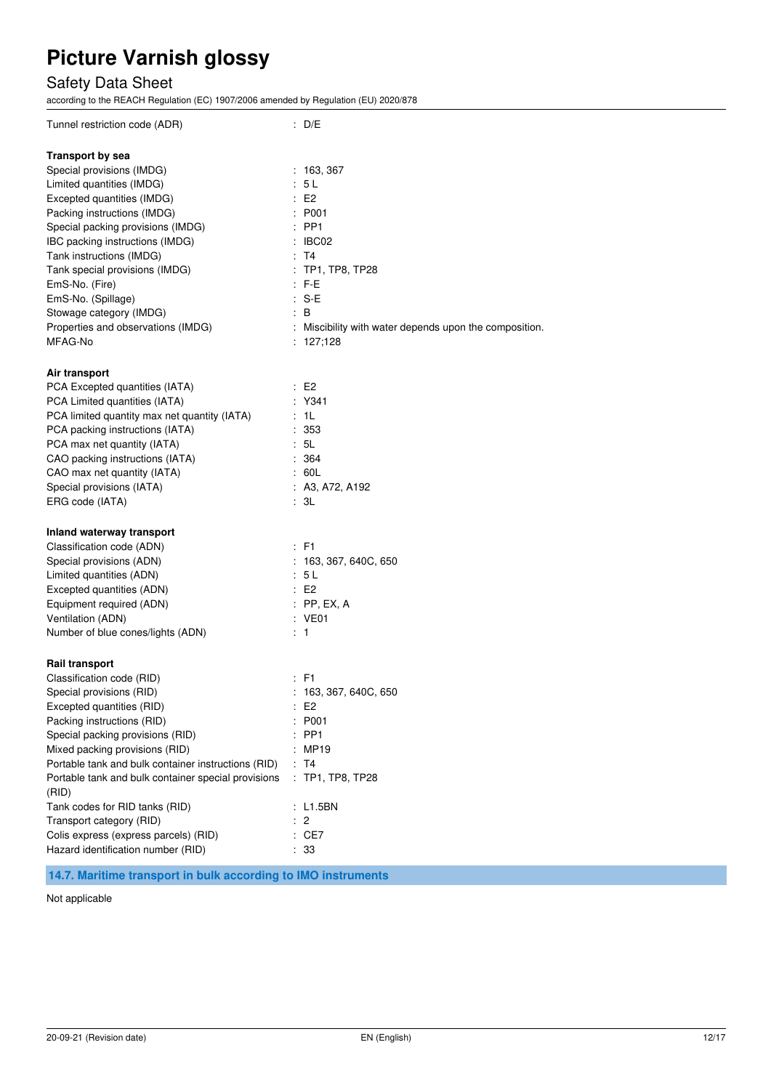## Safety Data Sheet

according to the REACH Regulation (EC) 1907/2006 amended by Regulation (EU) 2020/878

| Tunnel restriction code (ADR)                                                                                                                                                                                                                                                                                                                                                                                                                                                       | : D/E                                                                                                                                                         |
|-------------------------------------------------------------------------------------------------------------------------------------------------------------------------------------------------------------------------------------------------------------------------------------------------------------------------------------------------------------------------------------------------------------------------------------------------------------------------------------|---------------------------------------------------------------------------------------------------------------------------------------------------------------|
| <b>Transport by sea</b><br>Special provisions (IMDG)<br>Limited quantities (IMDG)<br>Excepted quantities (IMDG)<br>Packing instructions (IMDG)                                                                                                                                                                                                                                                                                                                                      | : 163,367<br>5 L<br>E2<br>: P001                                                                                                                              |
| Special packing provisions (IMDG)<br>IBC packing instructions (IMDG)<br>Tank instructions (IMDG)<br>Tank special provisions (IMDG)<br>EmS-No. (Fire)                                                                                                                                                                                                                                                                                                                                | $:$ PP1<br>: IBCO2<br>: T4<br>TP1, TP8, TP28<br>$:$ F-E                                                                                                       |
| EmS-No. (Spillage)<br>Stowage category (IMDG)<br>Properties and observations (IMDG)<br>MFAG-No                                                                                                                                                                                                                                                                                                                                                                                      | : S-E<br>: B<br>: Miscibility with water depends upon the composition.<br>: 127,128                                                                           |
| Air transport<br>PCA Excepted quantities (IATA)<br>PCA Limited quantities (IATA)<br>PCA limited quantity max net quantity (IATA)<br>PCA packing instructions (IATA)<br>PCA max net quantity (IATA)<br>CAO packing instructions (IATA)<br>CAO max net quantity (IATA)<br>Special provisions (IATA)                                                                                                                                                                                   | $\pm 52$<br>Y341<br>: 1L<br>:353<br>: 5L<br>: 364<br>: 60L<br>: A3, A72, A192                                                                                 |
| ERG code (IATA)                                                                                                                                                                                                                                                                                                                                                                                                                                                                     | : 3L                                                                                                                                                          |
| Inland waterway transport<br>Classification code (ADN)<br>Special provisions (ADN)<br>Limited quantities (ADN)<br>Excepted quantities (ADN)<br>Equipment required (ADN)<br>Ventilation (ADN)<br>Number of blue cones/lights (ADN)                                                                                                                                                                                                                                                   | $:$ F1<br>: 163, 367, 640C, 650<br>: 5L<br>$\pm 52$<br>$:$ PP, EX, A<br>$:$ VE01<br>: 1                                                                       |
| <b>Rail transport</b><br>Classification code (RID)<br>Special provisions (RID)<br>Excepted quantities (RID)<br>Packing instructions (RID)<br>Special packing provisions (RID)<br>Mixed packing provisions (RID)<br>Portable tank and bulk container instructions (RID)<br>Portable tank and bulk container special provisions<br>(RID)<br>Tank codes for RID tanks (RID)<br>Transport category (RID)<br>Colis express (express parcels) (RID)<br>Hazard identification number (RID) | : F1<br>: 163, 367, 640C, 650<br>E <sub>2</sub><br>P001<br>PP <sub>1</sub><br><b>MP19</b><br>T <sub>4</sub><br>TP1, TP8, TP28<br>: L1.5BN<br>2<br>CE7<br>: 33 |

### **14.7. Maritime transport in bulk according to IMO instruments**

Not applicable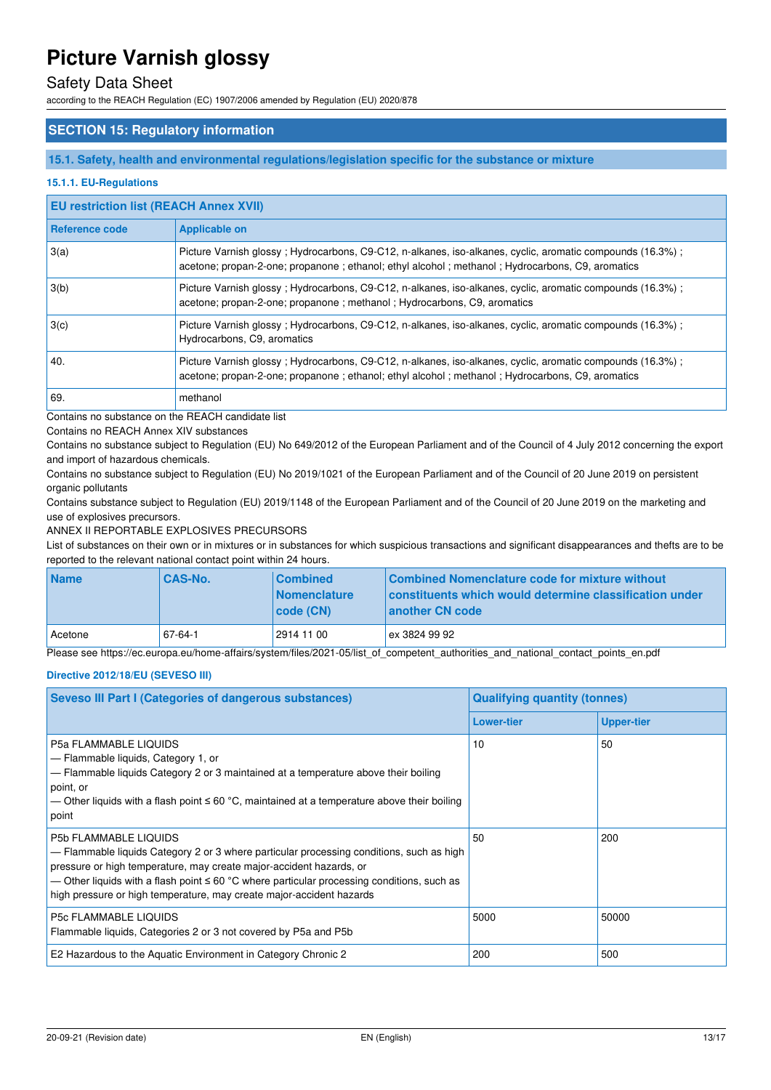### Safety Data Sheet

according to the REACH Regulation (EC) 1907/2006 amended by Regulation (EU) 2020/878

#### **SECTION 15: Regulatory information**

#### **15.1. Safety, health and environmental regulations/legislation specific for the substance or mixture**

#### **15.1.1. EU-Regulations**

#### **EU restriction list (REACH Annex XVII)**

| Reference code | <b>Applicable on</b>                                                                                                                                                                                         |
|----------------|--------------------------------------------------------------------------------------------------------------------------------------------------------------------------------------------------------------|
| 3(a)           | Picture Varnish glossy; Hydrocarbons, C9-C12, n-alkanes, iso-alkanes, cyclic, aromatic compounds (16.3%);<br>acetone; propan-2-one; propanone; ethanol; ethyl alcohol; methanol; Hydrocarbons, C9, aromatics |
| 3(b)           | Picture Varnish glossy; Hydrocarbons, C9-C12, n-alkanes, iso-alkanes, cyclic, aromatic compounds (16.3%);<br>acetone; propan-2-one; propanone; methanol; Hydrocarbons, C9, aromatics                         |
| 3(c)           | Picture Varnish glossy; Hydrocarbons, C9-C12, n-alkanes, iso-alkanes, cyclic, aromatic compounds (16.3%);<br>Hydrocarbons, C9, aromatics                                                                     |
| 40.            | Picture Varnish glossy; Hydrocarbons, C9-C12, n-alkanes, iso-alkanes, cyclic, aromatic compounds (16.3%);<br>acetone; propan-2-one; propanone; ethanol; ethyl alcohol; methanol; Hydrocarbons, C9, aromatics |
| 69.            | methanol                                                                                                                                                                                                     |

Contains no substance on the REACH candidate list

Contains no REACH Annex XIV substances

Contains no substance subject to Regulation (EU) No 649/2012 of the European Parliament and of the Council of 4 July 2012 concerning the export and import of hazardous chemicals.

Contains no substance subject to Regulation (EU) No 2019/1021 of the European Parliament and of the Council of 20 June 2019 on persistent organic pollutants

Contains substance subject to Regulation (EU) 2019/1148 of the European Parliament and of the Council of 20 June 2019 on the marketing and use of explosives precursors.

#### ANNEX II REPORTABLE EXPLOSIVES PRECURSORS

List of substances on their own or in mixtures or in substances for which suspicious transactions and significant disappearances and thefts are to be reported to the relevant national contact point within 24 hours.

| <b>Name</b> | <b>CAS-No.</b> | <b>Combined</b><br><b>Nomenclature</b><br> code(CN) | Combined Nomenclature code for mixture without<br>constituents which would determine classification under<br>another CN code |
|-------------|----------------|-----------------------------------------------------|------------------------------------------------------------------------------------------------------------------------------|
| Acetone     | $67 - 64 - 1$  | 2914 11 00                                          | ex 3824 99 92                                                                                                                |

Please see https://ec.europa.eu/home-affairs/system/files/2021-05/list\_of\_competent\_authorities\_and\_national\_contact\_points\_en.pdf

#### **Directive 2012/18/EU (SEVESO III)**

| <b>Seveso III Part I (Categories of dangerous substances)</b>                                                                                                                                                                                                                                                                                                              | <b>Qualifying quantity (tonnes)</b> |                   |  |
|----------------------------------------------------------------------------------------------------------------------------------------------------------------------------------------------------------------------------------------------------------------------------------------------------------------------------------------------------------------------------|-------------------------------------|-------------------|--|
|                                                                                                                                                                                                                                                                                                                                                                            | <b>Lower-tier</b>                   | <b>Upper-tier</b> |  |
| P5a FLAMMABLE LIQUIDS<br>- Flammable liquids, Category 1, or<br>- Flammable liquids Category 2 or 3 maintained at a temperature above their boiling<br>point, or<br>— Other liquids with a flash point $\leq 60$ °C, maintained at a temperature above their boiling<br>point                                                                                              | 10                                  | 50                |  |
| <b>P5b FLAMMABLE LIQUIDS</b><br>- Flammable liquids Category 2 or 3 where particular processing conditions, such as high<br>pressure or high temperature, may create major-accident hazards, or<br>— Other liquids with a flash point $\leq 60$ °C where particular processing conditions, such as<br>high pressure or high temperature, may create major-accident hazards | 50                                  | 200               |  |
| <b>P5c FLAMMABLE LIQUIDS</b><br>Flammable liquids, Categories 2 or 3 not covered by P5a and P5b                                                                                                                                                                                                                                                                            | 5000                                | 50000             |  |
| E2 Hazardous to the Aquatic Environment in Category Chronic 2                                                                                                                                                                                                                                                                                                              | 200                                 | 500               |  |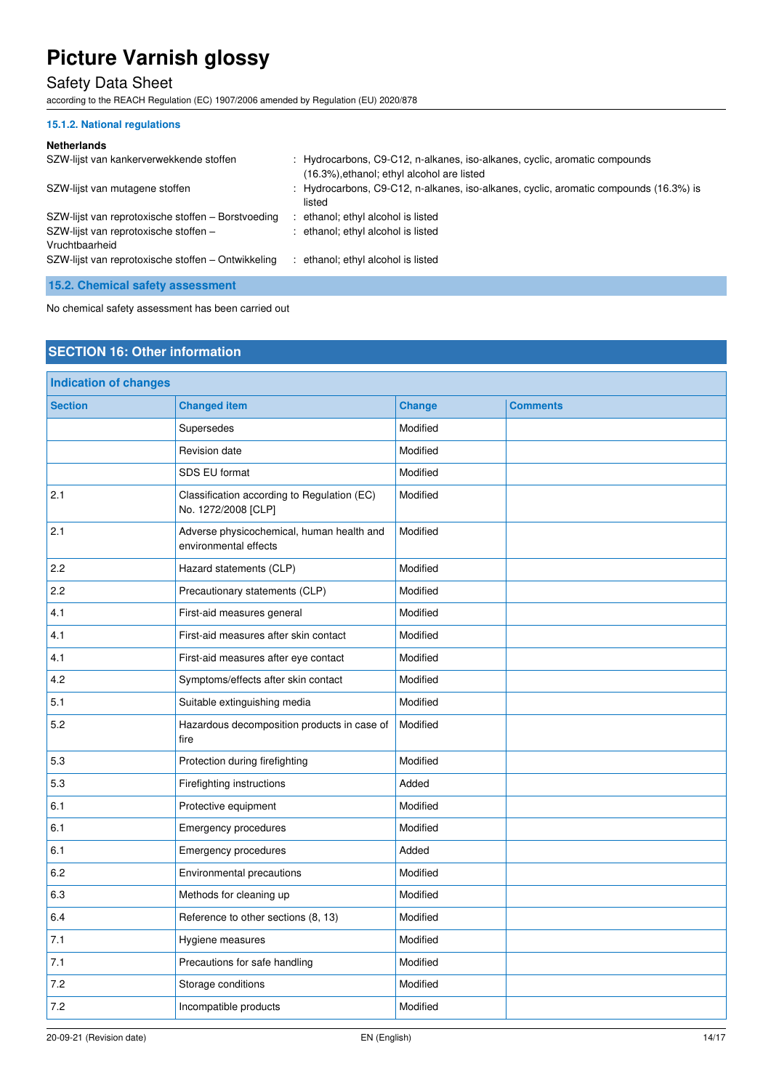## Safety Data Sheet

according to the REACH Regulation (EC) 1907/2006 amended by Regulation (EU) 2020/878

#### **15.1.2. National regulations**

#### **Netherlands**

| SZW-lijst van kankerverwekkende stoffen                 | : Hydrocarbons, C9-C12, n-alkanes, iso-alkanes, cyclic, aromatic compounds<br>(16.3%), ethanol; ethyl alcohol are listed |
|---------------------------------------------------------|--------------------------------------------------------------------------------------------------------------------------|
| SZW-lijst van mutagene stoffen                          | : Hydrocarbons, C9-C12, n-alkanes, iso-alkanes, cyclic, aromatic compounds (16.3%) is<br>listed                          |
| SZW-lijst van reprotoxische stoffen - Borstvoeding      | ethanol; ethyl alcohol is listed                                                                                         |
| SZW-lijst van reprotoxische stoffen -<br>Vruchtbaarheid | : ethanol; ethyl alcohol is listed                                                                                       |
| SZW-lijst van reprotoxische stoffen – Ontwikkeling      | ethanol; ethyl alcohol is listed                                                                                         |

**15.2. Chemical safety assessment** 

No chemical safety assessment has been carried out

### **SECTION 16: Other information**

| <b>Indication of changes</b> |                                                                    |               |                 |
|------------------------------|--------------------------------------------------------------------|---------------|-----------------|
| <b>Section</b>               | <b>Changed item</b>                                                | <b>Change</b> | <b>Comments</b> |
|                              | Supersedes                                                         | Modified      |                 |
|                              | Revision date                                                      | Modified      |                 |
|                              | SDS EU format                                                      | Modified      |                 |
| 2.1                          | Classification according to Regulation (EC)<br>No. 1272/2008 [CLP] | Modified      |                 |
| 2.1                          | Adverse physicochemical, human health and<br>environmental effects | Modified      |                 |
| 2.2                          | Hazard statements (CLP)                                            | Modified      |                 |
| 2.2                          | Precautionary statements (CLP)                                     | Modified      |                 |
| 4.1                          | First-aid measures general                                         | Modified      |                 |
| 4.1                          | First-aid measures after skin contact                              | Modified      |                 |
| 4.1                          | First-aid measures after eye contact                               | Modified      |                 |
| 4.2                          | Symptoms/effects after skin contact                                | Modified      |                 |
| 5.1                          | Suitable extinguishing media                                       | Modified      |                 |
| 5.2                          | Hazardous decomposition products in case of<br>fire                | Modified      |                 |
| 5.3                          | Protection during firefighting                                     | Modified      |                 |
| 5.3                          | Firefighting instructions                                          | Added         |                 |
| 6.1                          | Protective equipment                                               | Modified      |                 |
| 6.1                          | Emergency procedures                                               | Modified      |                 |
| 6.1                          | Emergency procedures                                               | Added         |                 |
| 6.2                          | Environmental precautions                                          | Modified      |                 |
| 6.3                          | Methods for cleaning up                                            | Modified      |                 |
| 6.4                          | Reference to other sections (8, 13)                                | Modified      |                 |
| 7.1                          | Hygiene measures                                                   | Modified      |                 |
| 7.1                          | Precautions for safe handling                                      | Modified      |                 |
| 7.2                          | Storage conditions                                                 | Modified      |                 |
| 7.2                          | Incompatible products                                              | Modified      |                 |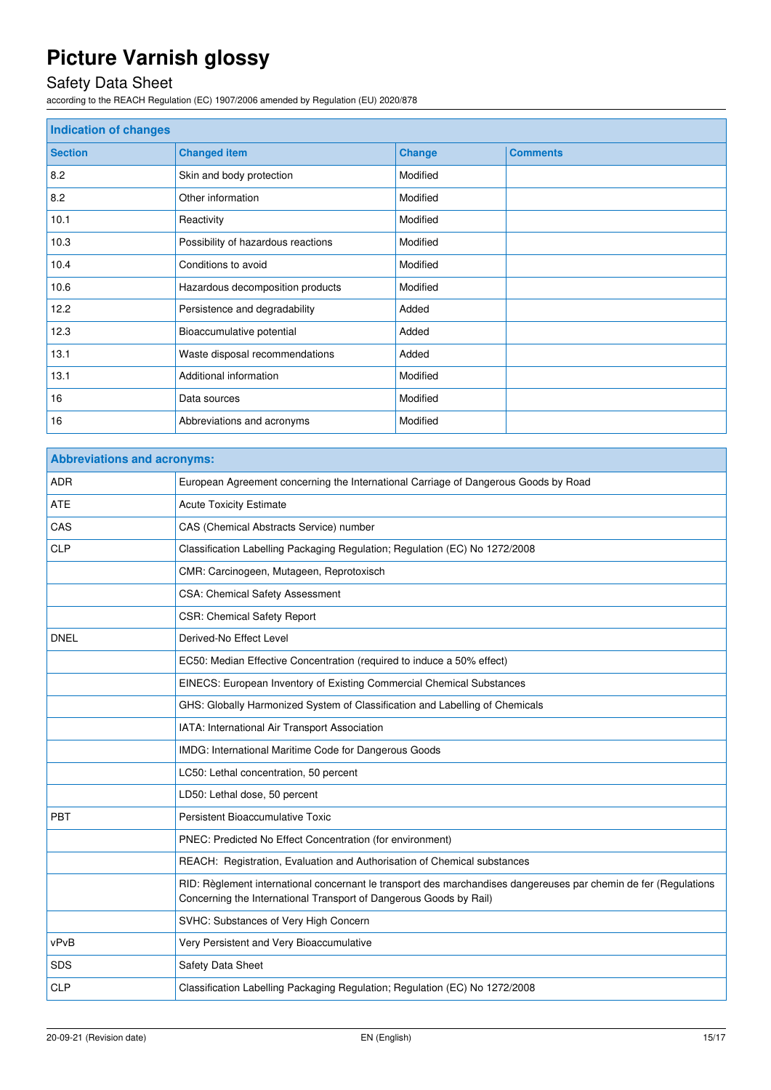## Safety Data Sheet

according to the REACH Regulation (EC) 1907/2006 amended by Regulation (EU) 2020/878

| <b>Indication of changes</b> |                                    |               |                 |
|------------------------------|------------------------------------|---------------|-----------------|
| <b>Section</b>               | <b>Changed item</b>                | <b>Change</b> | <b>Comments</b> |
| 8.2                          | Skin and body protection           | Modified      |                 |
| 8.2                          | Other information                  | Modified      |                 |
| 10.1                         | Reactivity                         | Modified      |                 |
| 10.3                         | Possibility of hazardous reactions | Modified      |                 |
| 10.4                         | Conditions to avoid                | Modified      |                 |
| 10.6                         | Hazardous decomposition products   | Modified      |                 |
| 12.2                         | Persistence and degradability      | Added         |                 |
| 12.3                         | Bioaccumulative potential          | Added         |                 |
| 13.1                         | Waste disposal recommendations     | Added         |                 |
| 13.1                         | Additional information             | Modified      |                 |
| 16                           | Data sources                       | Modified      |                 |
| 16                           | Abbreviations and acronyms         | Modified      |                 |

| <b>Abbreviations and acronyms:</b> |                                                                                                                                                                                        |  |  |
|------------------------------------|----------------------------------------------------------------------------------------------------------------------------------------------------------------------------------------|--|--|
| <b>ADR</b>                         | European Agreement concerning the International Carriage of Dangerous Goods by Road                                                                                                    |  |  |
| <b>ATE</b>                         | <b>Acute Toxicity Estimate</b>                                                                                                                                                         |  |  |
| CAS                                | CAS (Chemical Abstracts Service) number                                                                                                                                                |  |  |
| <b>CLP</b>                         | Classification Labelling Packaging Regulation; Regulation (EC) No 1272/2008                                                                                                            |  |  |
|                                    | CMR: Carcinogeen, Mutageen, Reprotoxisch                                                                                                                                               |  |  |
|                                    | CSA: Chemical Safety Assessment                                                                                                                                                        |  |  |
|                                    | <b>CSR: Chemical Safety Report</b>                                                                                                                                                     |  |  |
| <b>DNEL</b>                        | Derived-No Effect Level                                                                                                                                                                |  |  |
|                                    | EC50: Median Effective Concentration (required to induce a 50% effect)                                                                                                                 |  |  |
|                                    | EINECS: European Inventory of Existing Commercial Chemical Substances                                                                                                                  |  |  |
|                                    | GHS: Globally Harmonized System of Classification and Labelling of Chemicals                                                                                                           |  |  |
|                                    | IATA: International Air Transport Association                                                                                                                                          |  |  |
|                                    | IMDG: International Maritime Code for Dangerous Goods                                                                                                                                  |  |  |
|                                    | LC50: Lethal concentration, 50 percent                                                                                                                                                 |  |  |
|                                    | LD50: Lethal dose, 50 percent                                                                                                                                                          |  |  |
| PBT                                | Persistent Bioaccumulative Toxic                                                                                                                                                       |  |  |
|                                    | PNEC: Predicted No Effect Concentration (for environment)                                                                                                                              |  |  |
|                                    | REACH: Registration, Evaluation and Authorisation of Chemical substances                                                                                                               |  |  |
|                                    | RID: Règlement international concernant le transport des marchandises dangereuses par chemin de fer (Regulations<br>Concerning the International Transport of Dangerous Goods by Rail) |  |  |
|                                    | SVHC: Substances of Very High Concern                                                                                                                                                  |  |  |
| vPvB                               | Very Persistent and Very Bioaccumulative                                                                                                                                               |  |  |
| <b>SDS</b>                         | Safety Data Sheet                                                                                                                                                                      |  |  |
| <b>CLP</b>                         | Classification Labelling Packaging Regulation; Regulation (EC) No 1272/2008                                                                                                            |  |  |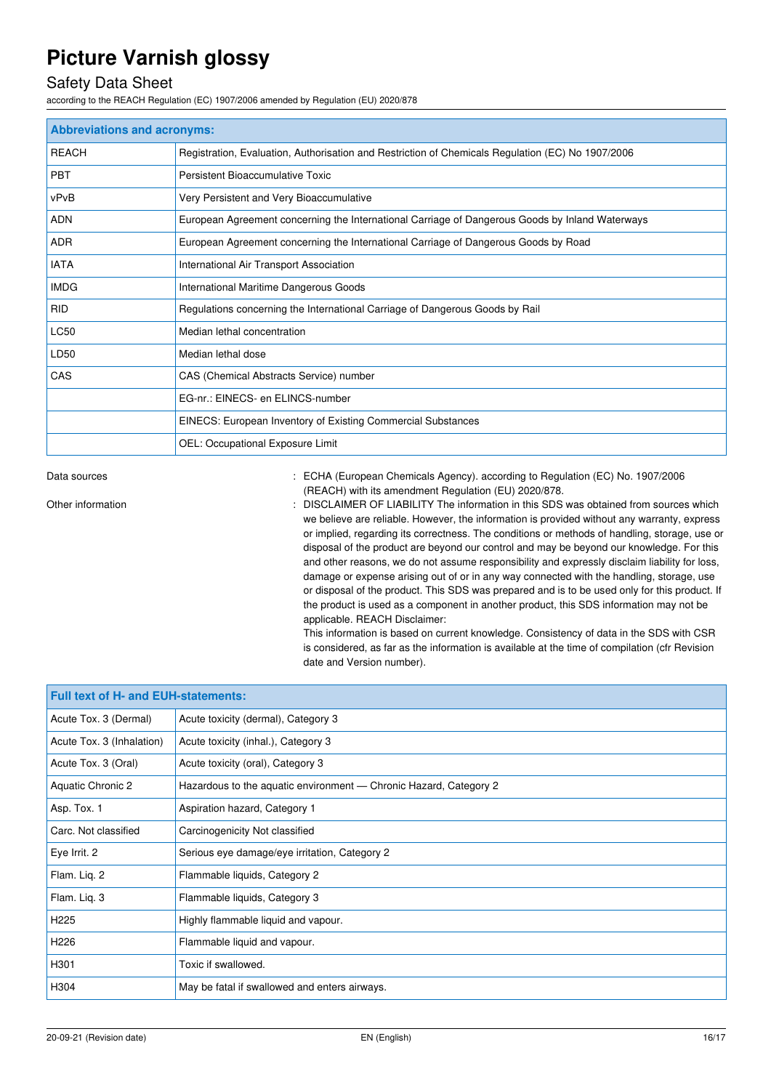## Safety Data Sheet

according to the REACH Regulation (EC) 1907/2006 amended by Regulation (EU) 2020/878

| <b>Abbreviations and acronyms:</b> |                                                                                                   |  |  |
|------------------------------------|---------------------------------------------------------------------------------------------------|--|--|
| <b>REACH</b>                       | Registration, Evaluation, Authorisation and Restriction of Chemicals Regulation (EC) No 1907/2006 |  |  |
| <b>PBT</b>                         | Persistent Bioaccumulative Toxic                                                                  |  |  |
| vPvB                               | Very Persistent and Very Bioaccumulative                                                          |  |  |
| <b>ADN</b>                         | European Agreement concerning the International Carriage of Dangerous Goods by Inland Waterways   |  |  |
| <b>ADR</b>                         | European Agreement concerning the International Carriage of Dangerous Goods by Road               |  |  |
| <b>IATA</b>                        | International Air Transport Association                                                           |  |  |
| <b>IMDG</b>                        | International Maritime Dangerous Goods                                                            |  |  |
| <b>RID</b>                         | Regulations concerning the International Carriage of Dangerous Goods by Rail                      |  |  |
| <b>LC50</b>                        | Median lethal concentration                                                                       |  |  |
| LD50                               | Median lethal dose                                                                                |  |  |
| CAS                                | CAS (Chemical Abstracts Service) number                                                           |  |  |
|                                    | EG-nr.: EINECS- en ELINCS-number                                                                  |  |  |
|                                    | EINECS: European Inventory of Existing Commercial Substances                                      |  |  |
|                                    | OEL: Occupational Exposure Limit                                                                  |  |  |

Data sources **1997/2006** : ECHA (European Chemicals Agency). according to Regulation (EC) No. 1907/2006 (REACH) with its amendment Regulation (EU) 2020/878.

Other information **interest in the information** : DISCLAIMER OF LIABILITY The information in this SDS was obtained from sources which we believe are reliable. However, the information is provided without any warranty, express or implied, regarding its correctness. The conditions or methods of handling, storage, use or disposal of the product are beyond our control and may be beyond our knowledge. For this and other reasons, we do not assume responsibility and expressly disclaim liability for loss, damage or expense arising out of or in any way connected with the handling, storage, use or disposal of the product. This SDS was prepared and is to be used only for this product. If the product is used as a component in another product, this SDS information may not be applicable. REACH Disclaimer:

This information is based on current knowledge. Consistency of data in the SDS with CSR is considered, as far as the information is available at the time of compilation (cfr Revision date and Version number).

| <b>Full text of H- and EUH-statements:</b> |                                                                   |  |  |
|--------------------------------------------|-------------------------------------------------------------------|--|--|
| Acute Tox. 3 (Dermal)                      | Acute toxicity (dermal), Category 3                               |  |  |
| Acute Tox. 3 (Inhalation)                  | Acute toxicity (inhal.), Category 3                               |  |  |
| Acute Tox. 3 (Oral)                        | Acute toxicity (oral), Category 3                                 |  |  |
| Aquatic Chronic 2                          | Hazardous to the aquatic environment — Chronic Hazard, Category 2 |  |  |
| Asp. Tox. 1                                | Aspiration hazard, Category 1                                     |  |  |
| Carc. Not classified                       | Carcinogenicity Not classified                                    |  |  |
| Eye Irrit. 2                               | Serious eye damage/eye irritation, Category 2                     |  |  |
| Flam. Lig. 2                               | Flammable liquids, Category 2                                     |  |  |
| Flam. Lig. 3                               | Flammable liquids, Category 3                                     |  |  |
| H <sub>225</sub>                           | Highly flammable liquid and vapour.                               |  |  |
| H <sub>226</sub>                           | Flammable liquid and vapour.                                      |  |  |
| H301                                       | Toxic if swallowed.                                               |  |  |
| H304                                       | May be fatal if swallowed and enters airways.                     |  |  |